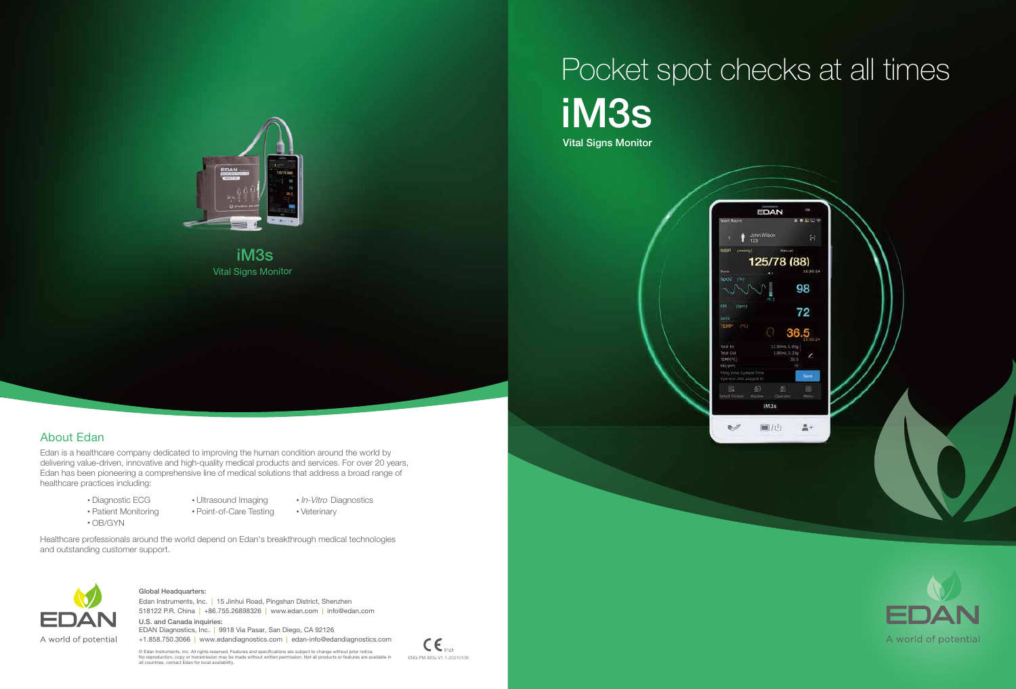## iM3s Vital Signs Monitor Pocket spot checks at all times





Vital Signs Monitor iM3s







Edan is a healthcare company dedicated to improving the human condition around the world by delivering value-driven, innovative and high-quality medical products and services. For over 20 years, Edan has been pioneering a comprehensive line of medical solutions that address a broad range of healthcare practices including:

> Diagnostic ECG • Patient Monitoring

Healthcare professionals around the world depend on Edan's breakthrough medical technologies and outstanding customer support.



518122 P.R. China | +86.755.26898326 | www.edan.com | info@edan.com Edan Instruments, Inc. | 15 Jinhui Road, Pingshan District, Shenzhen

OB/GYN

- Ultrasound Imaging
- In-Vitro Diagnostics
- Point-of-Care Testing
- Veterinary

## About Edan

#### Global Headquarters:

U.S. and Canada inquiries: EDAN Diagnostics, Inc. | 9918 Via Pasar, San Diego, CA 92126 +1.858.750.3066 | www.edandiagnostics.com | edan-info@edandiagnostics.com

© Edan Instruments, Inc. All rights reserved. Features and specifications are subject to change without prior notice.<br>No reproduction, copy or transmission may be made without written permission. Not all products or featur